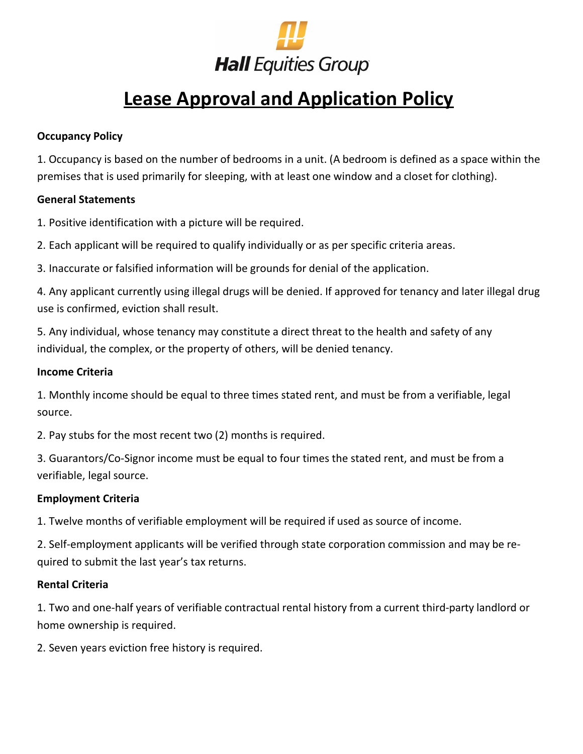

# **Lease Approval and Application Policy**

## **Occupancy Policy**

1. Occupancy is based on the number of bedrooms in a unit. (A bedroom is defined as a space within the premises that is used primarily for sleeping, with at least one window and a closet for clothing).

## **General Statements**

1. Positive identification with a picture will be required.

2. Each applicant will be required to qualify individually or as per specific criteria areas.

3. Inaccurate or falsified information will be grounds for denial of the application.

4. Any applicant currently using illegal drugs will be denied. If approved for tenancy and later illegal drug use is confirmed, eviction shall result.

5. Any individual, whose tenancy may constitute a direct threat to the health and safety of any individual, the complex, or the property of others, will be denied tenancy.

## **Income Criteria**

1. Monthly income should be equal to three times stated rent, and must be from a verifiable, legal source.

2. Pay stubs for the most recent two (2) months is required.

3. Guarantors/Co-Signor income must be equal to four times the stated rent, and must be from a verifiable, legal source.

# **Employment Criteria**

1. Twelve months of verifiable employment will be required if used as source of income.

2. Self-employment applicants will be verified through state corporation commission and may be required to submit the last year's tax returns.

#### **Rental Criteria**

1. Two and one-half years of verifiable contractual rental history from a current third-party landlord or home ownership is required.

2. Seven years eviction free history is required.